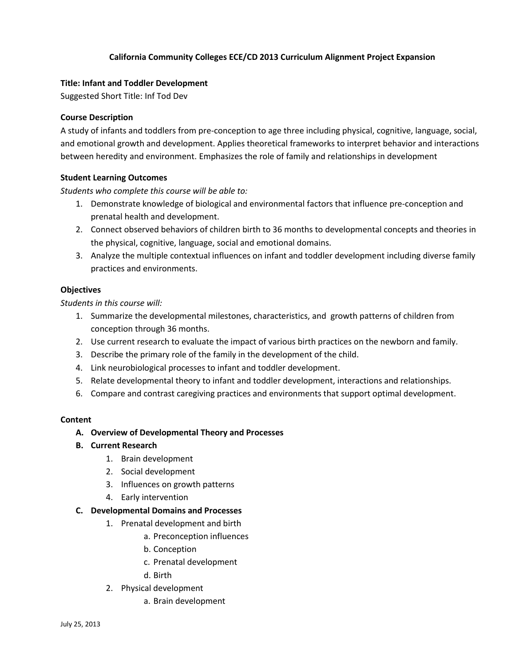# **California Community Colleges ECE/CD 2013 Curriculum Alignment Project Expansion**

### **Title: Infant and Toddler Development**

Suggested Short Title: Inf Tod Dev

#### **Course Description**

A study of infants and toddlers from pre-conception to age three including physical, cognitive, language, social, and emotional growth and development. Applies theoretical frameworks to interpret behavior and interactions between heredity and environment. Emphasizes the role of family and relationships in development

#### **Student Learning Outcomes**

#### *Students who complete this course will be able to:*

- 1. Demonstrate knowledge of biological and environmental factors that influence pre-conception and prenatal health and development.
- 2. Connect observed behaviors of children birth to 36 months to developmental concepts and theories in the physical, cognitive, language, social and emotional domains.
- 3. Analyze the multiple contextual influences on infant and toddler development including diverse family practices and environments.

#### **Objectives**

*Students in this course will:*

- 1. Summarize the developmental milestones, characteristics, and growth patterns of children from conception through 36 months.
- 2. Use current research to evaluate the impact of various birth practices on the newborn and family.
- 3. Describe the primary role of the family in the development of the child.
- 4. Link neurobiological processes to infant and toddler development.
- 5. Relate developmental theory to infant and toddler development, interactions and relationships.
- 6. Compare and contrast caregiving practices and environments that support optimal development.

#### **Content**

## **A. Overview of Developmental Theory and Processes**

- **B. Current Research** 
	- 1. Brain development
	- 2. Social development
	- 3. Influences on growth patterns
	- 4. Early intervention

# **C. Developmental Domains and Processes**

- 1. Prenatal development and birth
	- a. Preconception influences
	- b. Conception
	- c. Prenatal development
	- d. Birth
- 2. Physical development
	- a. Brain development